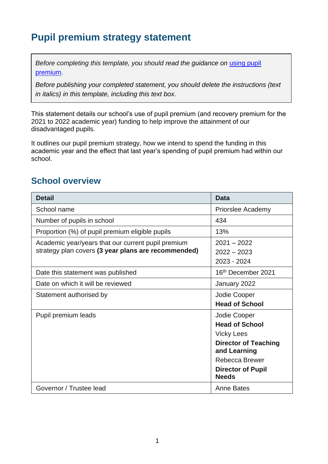# **Pupil premium strategy statement**

*Before completing this template, you should read the guidance on using pupil* [premium.](https://www.gov.uk/guidance/pupil-premium-effective-use-and-accountability#online-statements)

*Before publishing your completed statement, you should delete the instructions (text in italics) in this template, including this text box.*

This statement details our school's use of pupil premium (and recovery premium for the 2021 to 2022 academic year) funding to help improve the attainment of our disadvantaged pupils.

It outlines our pupil premium strategy, how we intend to spend the funding in this academic year and the effect that last year's spending of pupil premium had within our school.

#### **School overview**

| <b>Detail</b>                                       | Data                                        |
|-----------------------------------------------------|---------------------------------------------|
| School name                                         | Priorslee Academy                           |
| Number of pupils in school                          | 434                                         |
| Proportion (%) of pupil premium eligible pupils     | 13%                                         |
| Academic year/years that our current pupil premium  | $2021 - 2022$                               |
| strategy plan covers (3 year plans are recommended) | $2022 - 2023$                               |
|                                                     | 2023 - 2024                                 |
| Date this statement was published                   | 16 <sup>th</sup> December 2021              |
| Date on which it will be reviewed                   | January 2022                                |
| Statement authorised by                             | Jodie Cooper                                |
|                                                     | <b>Head of School</b>                       |
| Pupil premium leads                                 | Jodie Cooper                                |
|                                                     | <b>Head of School</b>                       |
|                                                     | <b>Vicky Lees</b>                           |
|                                                     | <b>Director of Teaching</b><br>and Learning |
|                                                     | Rebecca Brewer                              |
|                                                     | <b>Director of Pupil</b><br><b>Needs</b>    |
| Governor / Trustee lead                             | Anne Bates                                  |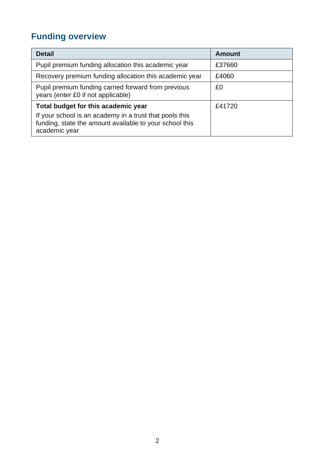# **Funding overview**

| <b>Detail</b>                                                                                                                       | <b>Amount</b> |
|-------------------------------------------------------------------------------------------------------------------------------------|---------------|
| Pupil premium funding allocation this academic year                                                                                 | £37660        |
| Recovery premium funding allocation this academic year                                                                              | £4060         |
| Pupil premium funding carried forward from previous<br>years (enter £0 if not applicable)                                           | £0            |
| Total budget for this academic year                                                                                                 | £41720        |
| If your school is an academy in a trust that pools this<br>funding, state the amount available to your school this<br>academic year |               |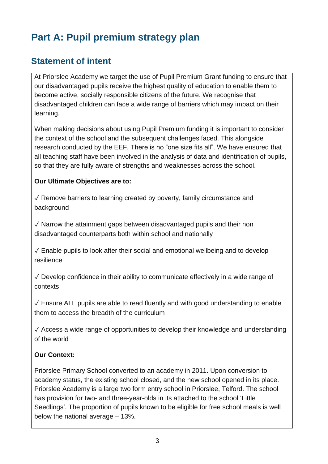# **Part A: Pupil premium strategy plan**

### **Statement of intent**

At Priorslee Academy we target the use of Pupil Premium Grant funding to ensure that our disadvantaged pupils receive the highest quality of education to enable them to become active, socially responsible citizens of the future. We recognise that disadvantaged children can face a wide range of barriers which may impact on their learning.

When making decisions about using Pupil Premium funding it is important to consider the context of the school and the subsequent challenges faced. This alongside research conducted by the EEF. There is no "one size fits all". We have ensured that all teaching staff have been involved in the analysis of data and identification of pupils, so that they are fully aware of strengths and weaknesses across the school.

#### **Our Ultimate Objectives are to:**

✓ Remove barriers to learning created by poverty, family circumstance and background

 $\sqrt{2}$  Narrow the attainment gaps between disadvantaged pupils and their non disadvantaged counterparts both within school and nationally

 $\sqrt{\frac{1}{2}}$  Enable pupils to look after their social and emotional wellbeing and to develop resilience

 $\sqrt{2}$  Develop confidence in their ability to communicate effectively in a wide range of contexts

 $\sqrt{\ }$  Ensure ALL pupils are able to read fluently and with good understanding to enable them to access the breadth of the curriculum

 $\sqrt{\ }$  Access a wide range of opportunities to develop their knowledge and understanding of the world

#### **Our Context:**

Priorslee Primary School converted to an academy in 2011. Upon conversion to academy status, the existing school closed, and the new school opened in its place. Priorslee Academy is a large two form entry school in Priorslee, Telford. The school has provision for two- and three-year-olds in its attached to the school 'Little Seedlings'. The proportion of pupils known to be eligible for free school meals is well below the national average – 13%.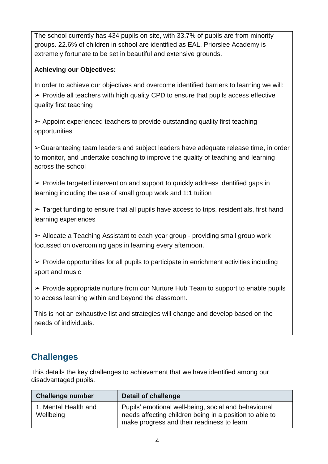The school currently has 434 pupils on site, with 33.7% of pupils are from minority groups. 22.6% of children in school are identified as EAL. Priorslee Academy is extremely fortunate to be set in beautiful and extensive grounds.

#### **Achieving our Objectives:**

In order to achieve our objectives and overcome identified barriers to learning we will:  $\triangleright$  Provide all teachers with high quality CPD to ensure that pupils access effective quality first teaching

 $\triangleright$  Appoint experienced teachers to provide outstanding quality first teaching opportunities

➢Guaranteeing team leaders and subject leaders have adequate release time, in order to monitor, and undertake coaching to improve the quality of teaching and learning across the school

 $\triangleright$  Provide targeted intervention and support to quickly address identified gaps in learning including the use of small group work and 1:1 tuition

 $\triangleright$  Target funding to ensure that all pupils have access to trips, residentials, first hand learning experiences

➢ Allocate a Teaching Assistant to each year group - providing small group work focussed on overcoming gaps in learning every afternoon.

 $\triangleright$  Provide opportunities for all pupils to participate in enrichment activities including sport and music

 $\triangleright$  Provide appropriate nurture from our Nurture Hub Team to support to enable pupils to access learning within and beyond the classroom.

This is not an exhaustive list and strategies will change and develop based on the needs of individuals.

## **Challenges**

This details the key challenges to achievement that we have identified among our disadvantaged pupils.

| <b>Challenge number</b>           | Detail of challenge                                                                                                                                           |
|-----------------------------------|---------------------------------------------------------------------------------------------------------------------------------------------------------------|
| 1. Mental Health and<br>Wellbeing | Pupils' emotional well-being, social and behavioural<br>needs affecting children being in a position to able to<br>make progress and their readiness to learn |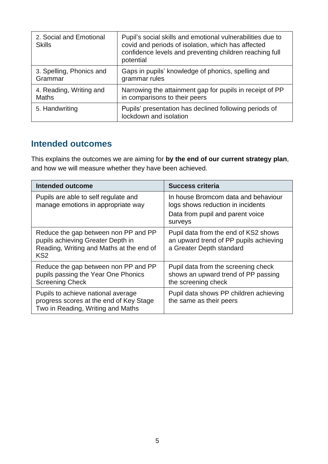| 2. Social and Emotional<br><b>Skills</b> | Pupil's social skills and emotional vulnerabilities due to<br>covid and periods of isolation, which has affected<br>confidence levels and preventing children reaching full<br>potential |
|------------------------------------------|------------------------------------------------------------------------------------------------------------------------------------------------------------------------------------------|
| 3. Spelling, Phonics and                 | Gaps in pupils' knowledge of phonics, spelling and                                                                                                                                       |
| Grammar                                  | grammar rules                                                                                                                                                                            |
| 4. Reading, Writing and                  | Narrowing the attainment gap for pupils in receipt of PP                                                                                                                                 |
| <b>Maths</b>                             | in comparisons to their peers                                                                                                                                                            |
| 5. Handwriting                           | Pupils' presentation has declined following periods of<br>lockdown and isolation                                                                                                         |

### **Intended outcomes**

This explains the outcomes we are aiming for **by the end of our current strategy plan**, and how we will measure whether they have been achieved.

| <b>Intended outcome</b>                                                                                                                  | <b>Success criteria</b>                                                                                                 |
|------------------------------------------------------------------------------------------------------------------------------------------|-------------------------------------------------------------------------------------------------------------------------|
| Pupils are able to self regulate and<br>manage emotions in appropriate way                                                               | In house Bromcom data and behaviour<br>logs shows reduction in incidents<br>Data from pupil and parent voice<br>surveys |
| Reduce the gap between non PP and PP<br>pupils achieving Greater Depth in<br>Reading, Writing and Maths at the end of<br>KS <sub>2</sub> | Pupil data from the end of KS2 shows<br>an upward trend of PP pupils achieving<br>a Greater Depth standard              |
| Reduce the gap between non PP and PP<br>pupils passing the Year One Phonics<br><b>Screening Check</b>                                    | Pupil data from the screening check<br>shows an upward trend of PP passing<br>the screening check                       |
| Pupils to achieve national average<br>progress scores at the end of Key Stage<br>Two in Reading, Writing and Maths                       | Pupil data shows PP children achieving<br>the same as their peers                                                       |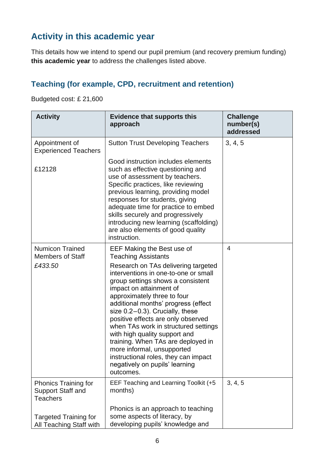## **Activity in this academic year**

This details how we intend to spend our pupil premium (and recovery premium funding) **this academic year** to address the challenges listed above.

#### **Teaching (for example, CPD, recruitment and retention)**

Budgeted cost: £ 21,600

| <b>Activity</b>                                                     | <b>Evidence that supports this</b><br>approach                                                                                                                                                                                                                                                                                                                                                                                                                                                                                                                                                | <b>Challenge</b><br>number(s)<br>addressed |
|---------------------------------------------------------------------|-----------------------------------------------------------------------------------------------------------------------------------------------------------------------------------------------------------------------------------------------------------------------------------------------------------------------------------------------------------------------------------------------------------------------------------------------------------------------------------------------------------------------------------------------------------------------------------------------|--------------------------------------------|
| Appointment of<br><b>Experienced Teachers</b>                       | <b>Sutton Trust Developing Teachers</b>                                                                                                                                                                                                                                                                                                                                                                                                                                                                                                                                                       | 3, 4, 5                                    |
| £12128                                                              | Good instruction includes elements<br>such as effective questioning and<br>use of assessment by teachers.<br>Specific practices, like reviewing<br>previous learning, providing model<br>responses for students, giving<br>adequate time for practice to embed<br>skills securely and progressively<br>introducing new learning (scaffolding)<br>are also elements of good quality<br>instruction.                                                                                                                                                                                            |                                            |
| <b>Numicon Trained</b><br><b>Members of Staff</b><br>£433.50        | EEF Making the Best use of<br><b>Teaching Assistants</b><br>Research on TAs delivering targeted<br>interventions in one-to-one or small<br>group settings shows a consistent<br>impact on attainment of<br>approximately three to four<br>additional months' progress (effect<br>size $0.2-0.3$ ). Crucially, these<br>positive effects are only observed<br>when TAs work in structured settings<br>with high quality support and<br>training. When TAs are deployed in<br>more informal, unsupported<br>instructional roles, they can impact<br>negatively on pupils' learning<br>outcomes. | $\overline{4}$                             |
| <b>Phonics Training for</b><br>Support Staff and<br><b>Teachers</b> | EEF Teaching and Learning Toolkit (+5<br>months)                                                                                                                                                                                                                                                                                                                                                                                                                                                                                                                                              | 3, 4, 5                                    |
| <b>Targeted Training for</b><br>All Teaching Staff with             | Phonics is an approach to teaching<br>some aspects of literacy, by<br>developing pupils' knowledge and                                                                                                                                                                                                                                                                                                                                                                                                                                                                                        |                                            |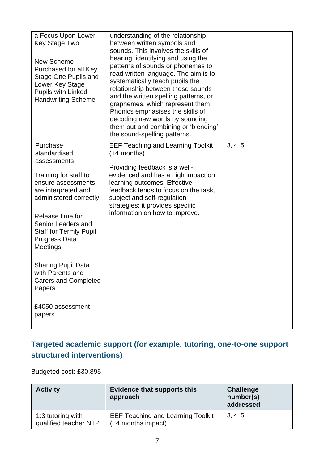| a Focus Upon Lower<br>Key Stage Two<br>New Scheme<br>Purchased for all Key<br>Stage One Pupils and<br>Lower Key Stage<br><b>Pupils with Linked</b><br><b>Handwriting Scheme</b> | understanding of the relationship<br>between written symbols and<br>sounds. This involves the skills of<br>hearing, identifying and using the<br>patterns of sounds or phonemes to<br>read written language. The aim is to<br>systematically teach pupils the<br>relationship between these sounds<br>and the written spelling patterns, or<br>graphemes, which represent them.<br>Phonics emphasises the skills of<br>decoding new words by sounding<br>them out and combining or 'blending'<br>the sound-spelling patterns. |         |
|---------------------------------------------------------------------------------------------------------------------------------------------------------------------------------|-------------------------------------------------------------------------------------------------------------------------------------------------------------------------------------------------------------------------------------------------------------------------------------------------------------------------------------------------------------------------------------------------------------------------------------------------------------------------------------------------------------------------------|---------|
| Purchase<br>standardised<br>assessments<br>Training for staff to                                                                                                                | <b>EEF Teaching and Learning Toolkit</b><br>$(+4$ months)<br>Providing feedback is a well-<br>evidenced and has a high impact on                                                                                                                                                                                                                                                                                                                                                                                              | 3, 4, 5 |
| ensure assessments<br>are interpreted and<br>administered correctly                                                                                                             | learning outcomes. Effective<br>feedback tends to focus on the task,<br>subject and self-regulation<br>strategies: it provides specific                                                                                                                                                                                                                                                                                                                                                                                       |         |
| Release time for<br>Senior Leaders and<br><b>Staff for Termly Pupil</b><br>Progress Data<br>Meetings                                                                            | information on how to improve.                                                                                                                                                                                                                                                                                                                                                                                                                                                                                                |         |
| <b>Sharing Pupil Data</b><br>with Parents and<br><b>Carers and Completed</b><br>Papers                                                                                          |                                                                                                                                                                                                                                                                                                                                                                                                                                                                                                                               |         |
| £4050 assessment<br>papers                                                                                                                                                      |                                                                                                                                                                                                                                                                                                                                                                                                                                                                                                                               |         |

### **Targeted academic support (for example, tutoring, one-to-one support structured interventions)**

Budgeted cost: £30,895

| <b>Activity</b>                            | <b>Evidence that supports this</b><br>approach                 | <b>Challenge</b><br>number(s)<br>addressed |
|--------------------------------------------|----------------------------------------------------------------|--------------------------------------------|
| 1:3 tutoring with<br>qualified teacher NTP | <b>EEF Teaching and Learning Toolkit</b><br>(+4 months impact) | 3, 4, 5                                    |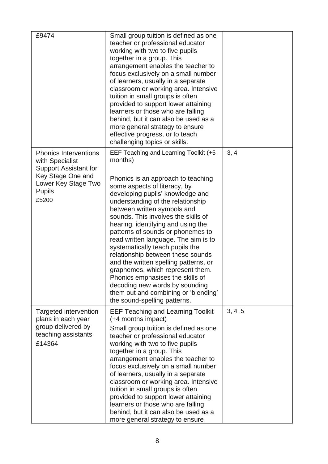| £9474                                                                                                                                                 | Small group tuition is defined as one<br>teacher or professional educator<br>working with two to five pupils<br>together in a group. This<br>arrangement enables the teacher to<br>focus exclusively on a small number<br>of learners, usually in a separate<br>classroom or working area. Intensive<br>tuition in small groups is often<br>provided to support lower attaining<br>learners or those who are falling<br>behind, but it can also be used as a<br>more general strategy to ensure<br>effective progress, or to teach<br>challenging topics or skills.                                                                                                                         |         |
|-------------------------------------------------------------------------------------------------------------------------------------------------------|---------------------------------------------------------------------------------------------------------------------------------------------------------------------------------------------------------------------------------------------------------------------------------------------------------------------------------------------------------------------------------------------------------------------------------------------------------------------------------------------------------------------------------------------------------------------------------------------------------------------------------------------------------------------------------------------|---------|
| <b>Phonics Interventions</b><br>with Specialist<br><b>Support Assistant for</b><br>Key Stage One and<br>Lower Key Stage Two<br><b>Pupils</b><br>£5200 | EEF Teaching and Learning Toolkit (+5<br>months)<br>Phonics is an approach to teaching<br>some aspects of literacy, by<br>developing pupils' knowledge and<br>understanding of the relationship<br>between written symbols and<br>sounds. This involves the skills of<br>hearing, identifying and using the<br>patterns of sounds or phonemes to<br>read written language. The aim is to<br>systematically teach pupils the<br>relationship between these sounds<br>and the written spelling patterns, or<br>graphemes, which represent them.<br>Phonics emphasises the skills of<br>decoding new words by sounding<br>them out and combining or 'blending'<br>the sound-spelling patterns. | 3, 4    |
| Targeted intervention<br>plans in each year<br>group delivered by<br>teaching assistants<br>£14364                                                    | EEF Teaching and Learning Toolkit<br>(+4 months impact)<br>Small group tuition is defined as one<br>teacher or professional educator<br>working with two to five pupils<br>together in a group. This<br>arrangement enables the teacher to<br>focus exclusively on a small number<br>of learners, usually in a separate<br>classroom or working area. Intensive<br>tuition in small groups is often<br>provided to support lower attaining<br>learners or those who are falling<br>behind, but it can also be used as a<br>more general strategy to ensure                                                                                                                                  | 3, 4, 5 |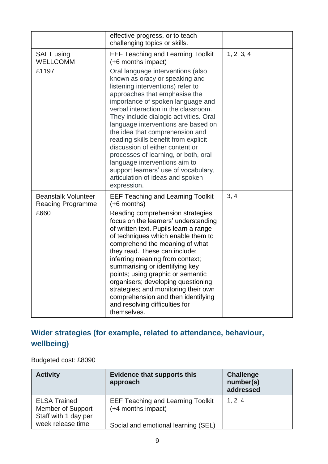|                                                                | effective progress, or to teach<br>challenging topics or skills.                                                                                                                                                                                                                                                                                                                                                                                                                                                                                                                                                                                            |            |
|----------------------------------------------------------------|-------------------------------------------------------------------------------------------------------------------------------------------------------------------------------------------------------------------------------------------------------------------------------------------------------------------------------------------------------------------------------------------------------------------------------------------------------------------------------------------------------------------------------------------------------------------------------------------------------------------------------------------------------------|------------|
| <b>SALT</b> using<br><b>WELLCOMM</b><br>£1197                  | <b>EEF Teaching and Learning Toolkit</b><br>(+6 months impact)<br>Oral language interventions (also<br>known as oracy or speaking and<br>listening interventions) refer to<br>approaches that emphasise the<br>importance of spoken language and<br>verbal interaction in the classroom.<br>They include dialogic activities. Oral<br>language interventions are based on<br>the idea that comprehension and<br>reading skills benefit from explicit<br>discussion of either content or<br>processes of learning, or both, oral<br>language interventions aim to<br>support learners' use of vocabulary,<br>articulation of ideas and spoken<br>expression. | 1, 2, 3, 4 |
| <b>Beanstalk Volunteer</b><br><b>Reading Programme</b><br>£660 | <b>EEF Teaching and Learning Toolkit</b><br>$(+6$ months)<br>Reading comprehension strategies<br>focus on the learners' understanding<br>of written text. Pupils learn a range<br>of techniques which enable them to<br>comprehend the meaning of what<br>they read. These can include:<br>inferring meaning from context;<br>summarising or identifying key<br>points; using graphic or semantic<br>organisers; developing questioning<br>strategies; and monitoring their own<br>comprehension and then identifying<br>and resolving difficulties for<br>themselves.                                                                                      | 3, 4       |

### **Wider strategies (for example, related to attendance, behaviour, wellbeing)**

Budgeted cost: £8090

| <b>Activity</b>                                                  | <b>Evidence that supports this</b><br>approach                 | <b>Challenge</b><br>number(s)<br>addressed |
|------------------------------------------------------------------|----------------------------------------------------------------|--------------------------------------------|
| <b>ELSA Trained</b><br>Member of Support<br>Staff with 1 day per | <b>EEF Teaching and Learning Toolkit</b><br>(+4 months impact) | 1, 2, 4                                    |
| week release time                                                | Social and emotional learning (SEL)                            |                                            |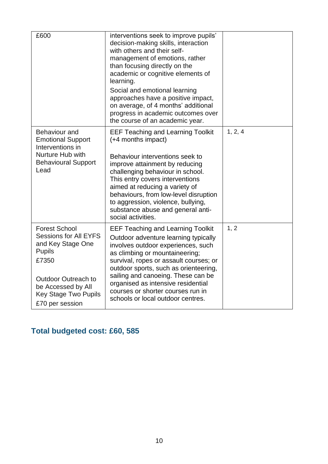| £600                                                                                                | interventions seek to improve pupils'<br>decision-making skills, interaction<br>with others and their self-<br>management of emotions, rather<br>than focusing directly on the<br>academic or cognitive elements of<br>learning.<br>Social and emotional learning<br>approaches have a positive impact,<br>on average, of 4 months' additional<br>progress in academic outcomes over<br>the course of an academic year. |         |
|-----------------------------------------------------------------------------------------------------|-------------------------------------------------------------------------------------------------------------------------------------------------------------------------------------------------------------------------------------------------------------------------------------------------------------------------------------------------------------------------------------------------------------------------|---------|
| Behaviour and<br><b>Emotional Support</b><br>Interventions in                                       | <b>EEF Teaching and Learning Toolkit</b><br>(+4 months impact)                                                                                                                                                                                                                                                                                                                                                          | 1, 2, 4 |
| Nurture Hub with<br><b>Behavioural Support</b><br>Lead                                              | Behaviour interventions seek to<br>improve attainment by reducing<br>challenging behaviour in school.<br>This entry covers interventions<br>aimed at reducing a variety of<br>behaviours, from low-level disruption<br>to aggression, violence, bullying,<br>substance abuse and general anti-<br>social activities.                                                                                                    |         |
| <b>Forest School</b><br><b>Sessions for All EYFS</b><br>and Key Stage One<br><b>Pupils</b><br>£7350 | <b>EEF Teaching and Learning Toolkit</b><br>Outdoor adventure learning typically<br>involves outdoor experiences, such<br>as climbing or mountaineering;<br>survival, ropes or assault courses; or<br>outdoor sports, such as orienteering,                                                                                                                                                                             | 1, 2    |
| <b>Outdoor Outreach to</b><br>be Accessed by All<br><b>Key Stage Two Pupils</b><br>£70 per session  | sailing and canoeing. These can be<br>organised as intensive residential<br>courses or shorter courses run in<br>schools or local outdoor centres.                                                                                                                                                                                                                                                                      |         |

## **Total budgeted cost: £60, 585**